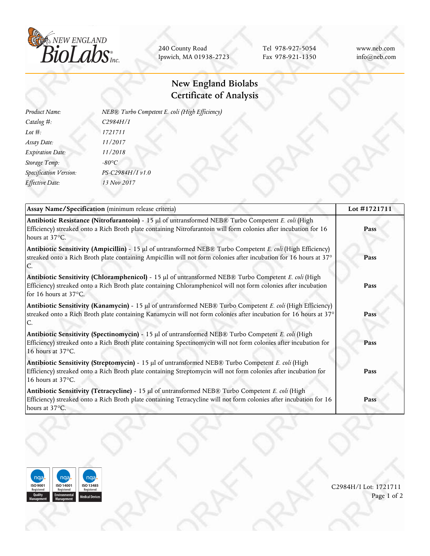

240 County Road Ipswich, MA 01938-2723

Tel 978-927-5054 Fax 978-921-1350 www.neb.com info@neb.com

## **New England Biolabs Certificate of Analysis**

| Product Name:           | NEB® Turbo Competent E. coli (High Efficiency) |
|-------------------------|------------------------------------------------|
| Catalog #:              | C2984H/I                                       |
| Lot $#$ :               | 1721711                                        |
| Assay Date:             | 11/2017                                        |
| <b>Expiration Date:</b> | 11/2018                                        |
| Storage Temp:           | $-80^{\circ}C$                                 |
| Specification Version:  | PS-C2984H/I v1.0                               |
| Effective Date:         | 13 Nov 2017                                    |
|                         |                                                |

| Assay Name/Specification (minimum release criteria)                                                                                                                                                                                              | Lot #1721711 |  |
|--------------------------------------------------------------------------------------------------------------------------------------------------------------------------------------------------------------------------------------------------|--------------|--|
| Antibiotic Resistance (Nitrofurantoin) - 15 µl of untransformed NEB® Turbo Competent E. coli (High<br>Efficiency) streaked onto a Rich Broth plate containing Nitrofurantoin will form colonies after incubation for 16<br>hours at 37°C.        | Pass         |  |
| Antibiotic Sensitivity (Ampicillin) - 15 µl of untransformed NEB® Turbo Competent E. coli (High Efficiency)<br>streaked onto a Rich Broth plate containing Ampicillin will not form colonies after incubation for 16 hours at 37°                | Pass         |  |
| Antibiotic Sensitivity (Chloramphenicol) - 15 µl of untransformed NEB® Turbo Competent E. coli (High<br>Efficiency) streaked onto a Rich Broth plate containing Chloramphenicol will not form colonies after incubation<br>for 16 hours at 37°C. | Pass         |  |
| Antibiotic Sensitivity (Kanamycin) - 15 $\mu$ l of untransformed NEB® Turbo Competent E. coli (High Efficiency)<br>streaked onto a Rich Broth plate containing Kanamycin will not form colonies after incubation for 16 hours at 37°             | Pass         |  |
| Antibiotic Sensitivity (Spectinomycin) - 15 µl of untransformed NEB® Turbo Competent E. coli (High<br>Efficiency) streaked onto a Rich Broth plate containing Spectinomycin will not form colonies after incubation for<br>16 hours at 37°C.     | Pass         |  |
| Antibiotic Sensitivity (Streptomycin) - 15 µl of untransformed NEB® Turbo Competent E. coli (High<br>Efficiency) streaked onto a Rich Broth plate containing Streptomycin will not form colonies after incubation for<br>16 hours at 37°C.       | Pass         |  |
| Antibiotic Sensitivity (Tetracycline) - 15 µl of untransformed NEB® Turbo Competent E. coli (High<br>Efficiency) streaked onto a Rich Broth plate containing Tetracycline will not form colonies after incubation for 16<br>hours at 37°C.       | Pass         |  |



C2984H/I Lot: 1721711 Page 1 of 2